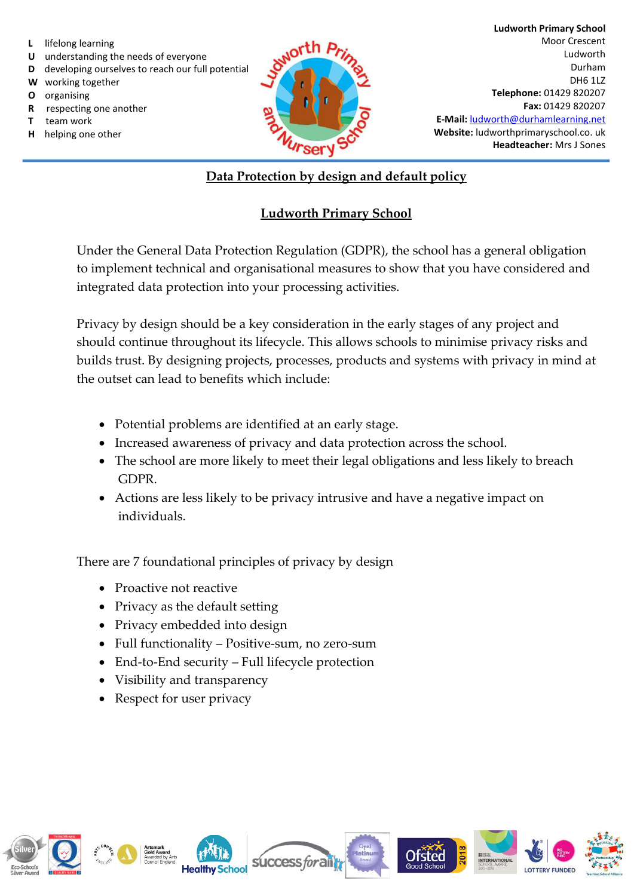- **L** lifelong learning
- **U** understanding the needs of everyone
- **D** developing ourselves to reach our full potential
- **W** working together
- **O** organising
- **R** respecting one another
- **T** team work
- **H** helping one other



## **Data Protection by design and default policy**

# **Ludworth Primary School**

Under the General Data Protection Regulation (GDPR), the school has a general obligation to implement technical and organisational measures to show that you have considered and integrated data protection into your processing activities.

Privacy by design should be a key consideration in the early stages of any project and should continue throughout its lifecycle. This allows schools to minimise privacy risks and builds trust. By designing projects, processes, products and systems with privacy in mind at the outset can lead to benefits which include:

- Potential problems are identified at an early stage.
- Increased awareness of privacy and data protection across the school.
- The school are more likely to meet their legal obligations and less likely to breach GDPR.
- Actions are less likely to be privacy intrusive and have a negative impact on individuals.

There are 7 foundational principles of privacy by design

- Proactive not reactive
- Privacy as the default setting
- Privacy embedded into design
- Full functionality Positive-sum, no zero-sum
- End-to-End security Full lifecycle protection
- Visibility and transparency
- Respect for user privacy

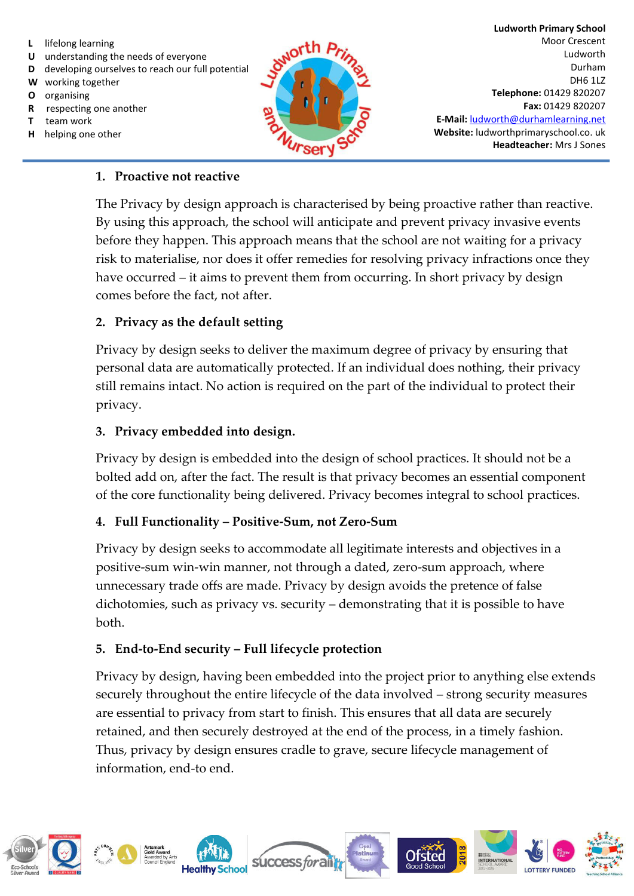- **L** lifelong learning
- **U** understanding the needs of everyone
- **D** developing ourselves to reach our full potential
- **W** working together
- **O** organising
- **R** respecting one another
- **T** team work
- **H** helping one other



**Ludworth Primary School**  Moor Crescent Ludworth Durham DH6 1LZ **Telephone:** 01429 820207 **Fax:** 01429 820207 **E-Mail:** [ludworth@durhamlearning.net](mailto:ludworth@durhamlearning.net) **Website:** ludworthprimaryschool.co. uk **Headteacher:** Mrs J Sones

#### **1. Proactive not reactive**

The Privacy by design approach is characterised by being proactive rather than reactive. By using this approach, the school will anticipate and prevent privacy invasive events before they happen. This approach means that the school are not waiting for a privacy risk to materialise, nor does it offer remedies for resolving privacy infractions once they have occurred – it aims to prevent them from occurring. In short privacy by design comes before the fact, not after.

# **2. Privacy as the default setting**

Privacy by design seeks to deliver the maximum degree of privacy by ensuring that personal data are automatically protected. If an individual does nothing, their privacy still remains intact. No action is required on the part of the individual to protect their privacy.

## **3. Privacy embedded into design.**

Privacy by design is embedded into the design of school practices. It should not be a bolted add on, after the fact. The result is that privacy becomes an essential component of the core functionality being delivered. Privacy becomes integral to school practices.

# **4. Full Functionality – Positive-Sum, not Zero-Sum**

Privacy by design seeks to accommodate all legitimate interests and objectives in a positive-sum win-win manner, not through a dated, zero-sum approach, where unnecessary trade offs are made. Privacy by design avoids the pretence of false dichotomies, such as privacy vs. security – demonstrating that it is possible to have both.

#### **5. End-to-End security – Full lifecycle protection**

Privacy by design, having been embedded into the project prior to anything else extends securely throughout the entire lifecycle of the data involved – strong security measures are essential to privacy from start to finish. This ensures that all data are securely retained, and then securely destroyed at the end of the process, in a timely fashion. Thus, privacy by design ensures cradle to grave, secure lifecycle management of information, end-to end.